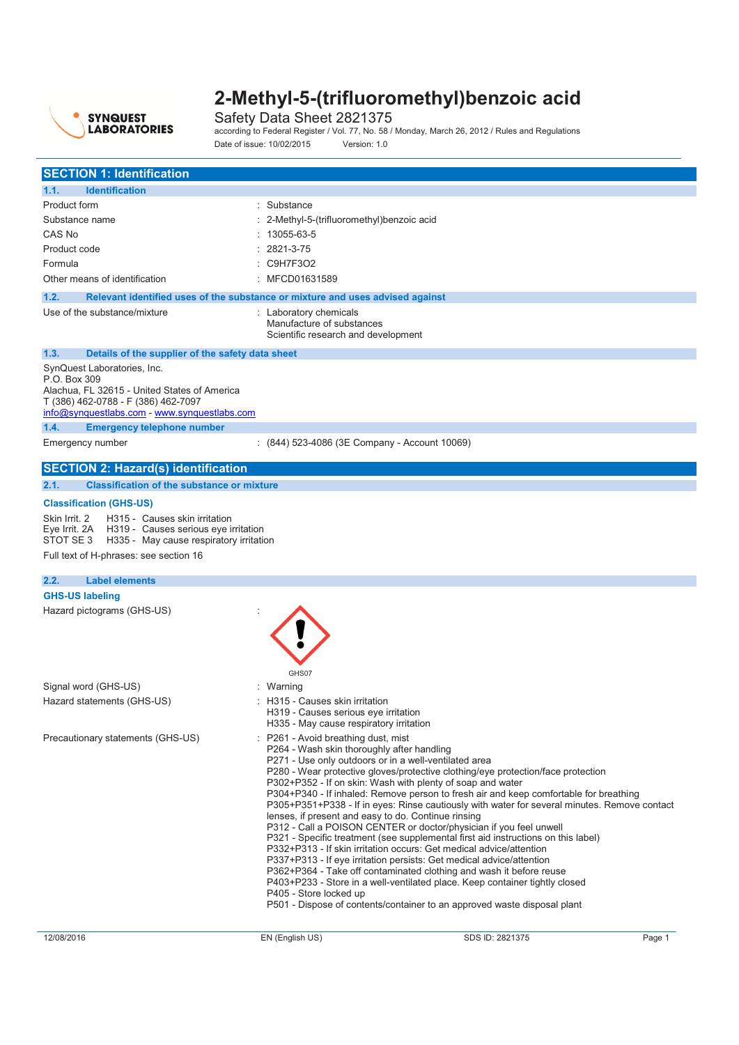

Safety Data Sheet 2821375 according to Federal Register / Vol. 77, No. 58 / Monday, March 26, 2012 / Rules and Regulations Date of issue: 10/02/2015 Version: 1.0

| <b>SECTION 1: Identification</b>                                                                                                                                                                       |                                                                                                                                                                                                                           |                                                                                                                                                                                                                                                                                                                                                                                                                                                                                                                                                                                                                                                                                                                                                                                                                                                                                     |        |
|--------------------------------------------------------------------------------------------------------------------------------------------------------------------------------------------------------|---------------------------------------------------------------------------------------------------------------------------------------------------------------------------------------------------------------------------|-------------------------------------------------------------------------------------------------------------------------------------------------------------------------------------------------------------------------------------------------------------------------------------------------------------------------------------------------------------------------------------------------------------------------------------------------------------------------------------------------------------------------------------------------------------------------------------------------------------------------------------------------------------------------------------------------------------------------------------------------------------------------------------------------------------------------------------------------------------------------------------|--------|
| 1.1.<br><b>Identification</b>                                                                                                                                                                          |                                                                                                                                                                                                                           |                                                                                                                                                                                                                                                                                                                                                                                                                                                                                                                                                                                                                                                                                                                                                                                                                                                                                     |        |
| Product form                                                                                                                                                                                           | : Substance                                                                                                                                                                                                               |                                                                                                                                                                                                                                                                                                                                                                                                                                                                                                                                                                                                                                                                                                                                                                                                                                                                                     |        |
| Substance name                                                                                                                                                                                         | : 2-Methyl-5-(trifluoromethyl)benzoic acid                                                                                                                                                                                |                                                                                                                                                                                                                                                                                                                                                                                                                                                                                                                                                                                                                                                                                                                                                                                                                                                                                     |        |
| CAS No                                                                                                                                                                                                 | 13055-63-5                                                                                                                                                                                                                |                                                                                                                                                                                                                                                                                                                                                                                                                                                                                                                                                                                                                                                                                                                                                                                                                                                                                     |        |
| Product code                                                                                                                                                                                           | 2821-3-75                                                                                                                                                                                                                 |                                                                                                                                                                                                                                                                                                                                                                                                                                                                                                                                                                                                                                                                                                                                                                                                                                                                                     |        |
|                                                                                                                                                                                                        |                                                                                                                                                                                                                           |                                                                                                                                                                                                                                                                                                                                                                                                                                                                                                                                                                                                                                                                                                                                                                                                                                                                                     |        |
| Formula                                                                                                                                                                                                | : C9H7F3O2                                                                                                                                                                                                                |                                                                                                                                                                                                                                                                                                                                                                                                                                                                                                                                                                                                                                                                                                                                                                                                                                                                                     |        |
| Other means of identification                                                                                                                                                                          | : MFCD01631589                                                                                                                                                                                                            |                                                                                                                                                                                                                                                                                                                                                                                                                                                                                                                                                                                                                                                                                                                                                                                                                                                                                     |        |
| Relevant identified uses of the substance or mixture and uses advised against<br>1.2.                                                                                                                  |                                                                                                                                                                                                                           |                                                                                                                                                                                                                                                                                                                                                                                                                                                                                                                                                                                                                                                                                                                                                                                                                                                                                     |        |
| Use of the substance/mixture                                                                                                                                                                           | : Laboratory chemicals<br>Manufacture of substances<br>Scientific research and development                                                                                                                                |                                                                                                                                                                                                                                                                                                                                                                                                                                                                                                                                                                                                                                                                                                                                                                                                                                                                                     |        |
| 1.3.<br>Details of the supplier of the safety data sheet                                                                                                                                               |                                                                                                                                                                                                                           |                                                                                                                                                                                                                                                                                                                                                                                                                                                                                                                                                                                                                                                                                                                                                                                                                                                                                     |        |
| SynQuest Laboratories, Inc.<br>P.O. Box 309<br>Alachua, FL 32615 - United States of America<br>T (386) 462-0788 - F (386) 462-7097<br>info@synquestlabs.com - www.synquestlabs.com                     |                                                                                                                                                                                                                           |                                                                                                                                                                                                                                                                                                                                                                                                                                                                                                                                                                                                                                                                                                                                                                                                                                                                                     |        |
| 1.4.<br><b>Emergency telephone number</b>                                                                                                                                                              |                                                                                                                                                                                                                           |                                                                                                                                                                                                                                                                                                                                                                                                                                                                                                                                                                                                                                                                                                                                                                                                                                                                                     |        |
| Emergency number                                                                                                                                                                                       | : (844) 523-4086 (3E Company - Account 10069)                                                                                                                                                                             |                                                                                                                                                                                                                                                                                                                                                                                                                                                                                                                                                                                                                                                                                                                                                                                                                                                                                     |        |
| <b>SECTION 2: Hazard(s) identification</b>                                                                                                                                                             |                                                                                                                                                                                                                           |                                                                                                                                                                                                                                                                                                                                                                                                                                                                                                                                                                                                                                                                                                                                                                                                                                                                                     |        |
| 2.1.<br><b>Classification of the substance or mixture</b>                                                                                                                                              |                                                                                                                                                                                                                           |                                                                                                                                                                                                                                                                                                                                                                                                                                                                                                                                                                                                                                                                                                                                                                                                                                                                                     |        |
| <b>Classification (GHS-US)</b>                                                                                                                                                                         |                                                                                                                                                                                                                           |                                                                                                                                                                                                                                                                                                                                                                                                                                                                                                                                                                                                                                                                                                                                                                                                                                                                                     |        |
| Skin Irrit. 2<br>H315 - Causes skin irritation<br>Eye Irrit. 2A H319 - Causes serious eye irritation<br>STOT SE 3<br>H335 - May cause respiratory irritation<br>Full text of H-phrases: see section 16 |                                                                                                                                                                                                                           |                                                                                                                                                                                                                                                                                                                                                                                                                                                                                                                                                                                                                                                                                                                                                                                                                                                                                     |        |
| 2.2.<br><b>Label elements</b>                                                                                                                                                                          |                                                                                                                                                                                                                           |                                                                                                                                                                                                                                                                                                                                                                                                                                                                                                                                                                                                                                                                                                                                                                                                                                                                                     |        |
| <b>GHS-US labeling</b>                                                                                                                                                                                 |                                                                                                                                                                                                                           |                                                                                                                                                                                                                                                                                                                                                                                                                                                                                                                                                                                                                                                                                                                                                                                                                                                                                     |        |
| Hazard pictograms (GHS-US)                                                                                                                                                                             | GHS07                                                                                                                                                                                                                     |                                                                                                                                                                                                                                                                                                                                                                                                                                                                                                                                                                                                                                                                                                                                                                                                                                                                                     |        |
| Signal word (GHS-US)                                                                                                                                                                                   | : Warning                                                                                                                                                                                                                 |                                                                                                                                                                                                                                                                                                                                                                                                                                                                                                                                                                                                                                                                                                                                                                                                                                                                                     |        |
| Hazard statements (GHS-US)                                                                                                                                                                             | : H315 - Causes skin irritation<br>H319 - Causes serious eve irritation<br>H335 - May cause respiratory irritation                                                                                                        |                                                                                                                                                                                                                                                                                                                                                                                                                                                                                                                                                                                                                                                                                                                                                                                                                                                                                     |        |
| Precautionary statements (GHS-US)                                                                                                                                                                      | P261 - Avoid breathing dust, mist<br>P264 - Wash skin thoroughly after handling<br>P271 - Use only outdoors or in a well-ventilated area<br>lenses, if present and easy to do. Continue rinsing<br>P405 - Store locked up | P280 - Wear protective gloves/protective clothing/eye protection/face protection<br>P302+P352 - If on skin: Wash with plenty of soap and water<br>P304+P340 - If inhaled: Remove person to fresh air and keep comfortable for breathing<br>P305+P351+P338 - If in eyes: Rinse cautiously with water for several minutes. Remove contact<br>P312 - Call a POISON CENTER or doctor/physician if you feel unwell<br>P321 - Specific treatment (see supplemental first aid instructions on this label)<br>P332+P313 - If skin irritation occurs: Get medical advice/attention<br>P337+P313 - If eye irritation persists: Get medical advice/attention<br>P362+P364 - Take off contaminated clothing and wash it before reuse<br>P403+P233 - Store in a well-ventilated place. Keep container tightly closed<br>P501 - Dispose of contents/container to an approved waste disposal plant |        |
| 12/08/2016                                                                                                                                                                                             | EN (English US)                                                                                                                                                                                                           | SDS ID: 2821375                                                                                                                                                                                                                                                                                                                                                                                                                                                                                                                                                                                                                                                                                                                                                                                                                                                                     | Page 1 |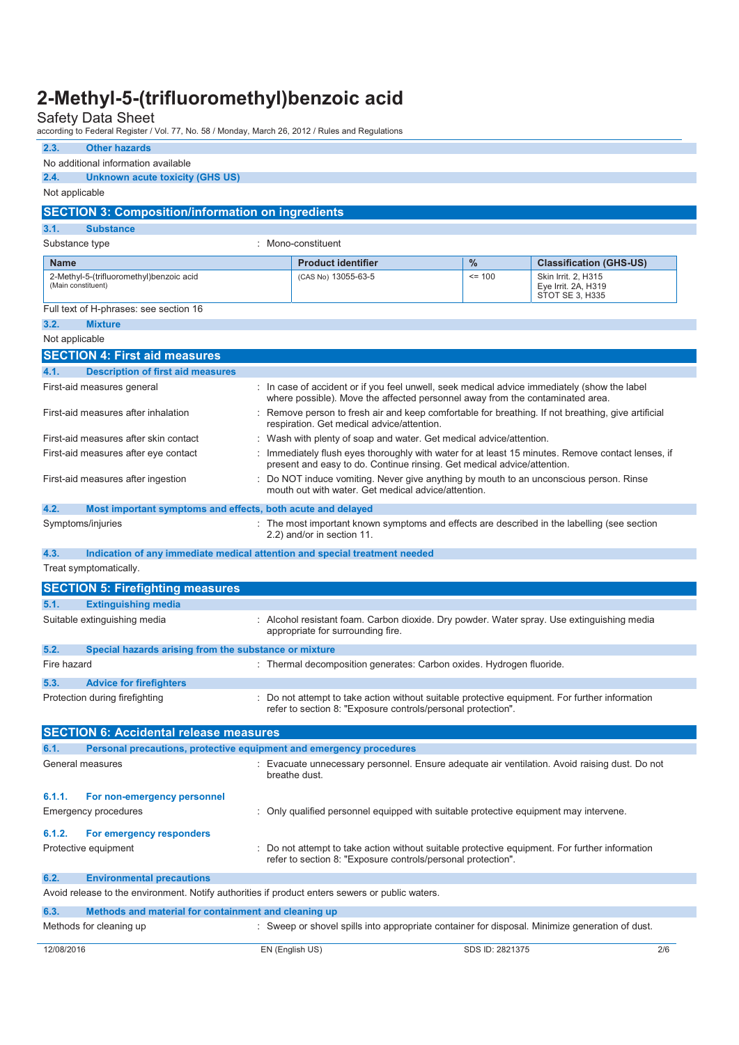Safety Data Sheet according to Federal Register / Vol. 77, No. 58 / Monday, March 26, 2012 / Rules and Regulations

| 2.3.<br><b>Other hazards</b>                                                                    |  |                                                                                                                                                                               |                 |                                                               |
|-------------------------------------------------------------------------------------------------|--|-------------------------------------------------------------------------------------------------------------------------------------------------------------------------------|-----------------|---------------------------------------------------------------|
| No additional information available<br><b>Unknown acute toxicity (GHS US)</b><br>2.4.           |  |                                                                                                                                                                               |                 |                                                               |
| Not applicable                                                                                  |  |                                                                                                                                                                               |                 |                                                               |
|                                                                                                 |  |                                                                                                                                                                               |                 |                                                               |
| <b>SECTION 3: Composition/information on ingredients</b>                                        |  |                                                                                                                                                                               |                 |                                                               |
| 3.1.<br><b>Substance</b>                                                                        |  |                                                                                                                                                                               |                 |                                                               |
| Substance type                                                                                  |  | : Mono-constituent                                                                                                                                                            |                 |                                                               |
| <b>Name</b>                                                                                     |  | <b>Product identifier</b>                                                                                                                                                     | %               | <b>Classification (GHS-US)</b>                                |
| 2-Methyl-5-(trifluoromethyl)benzoic acid<br>(Main constituent)                                  |  | (CAS No) 13055-63-5                                                                                                                                                           | $= 100$         | Skin Irrit. 2, H315<br>Eye Irrit. 2A, H319<br>STOT SE 3, H335 |
| Full text of H-phrases: see section 16                                                          |  |                                                                                                                                                                               |                 |                                                               |
| 3.2.<br><b>Mixture</b>                                                                          |  |                                                                                                                                                                               |                 |                                                               |
| Not applicable                                                                                  |  |                                                                                                                                                                               |                 |                                                               |
| <b>SECTION 4: First aid measures</b>                                                            |  |                                                                                                                                                                               |                 |                                                               |
| 4.1.<br><b>Description of first aid measures</b>                                                |  |                                                                                                                                                                               |                 |                                                               |
| First-aid measures general                                                                      |  | : In case of accident or if you feel unwell, seek medical advice immediately (show the label<br>where possible). Move the affected personnel away from the contaminated area. |                 |                                                               |
| First-aid measures after inhalation                                                             |  | : Remove person to fresh air and keep comfortable for breathing. If not breathing, give artificial<br>respiration. Get medical advice/attention.                              |                 |                                                               |
| First-aid measures after skin contact                                                           |  | Wash with plenty of soap and water. Get medical advice/attention.                                                                                                             |                 |                                                               |
| First-aid measures after eye contact                                                            |  | Immediately flush eyes thoroughly with water for at least 15 minutes. Remove contact lenses, if<br>present and easy to do. Continue rinsing. Get medical advice/attention.    |                 |                                                               |
| First-aid measures after ingestion                                                              |  | : Do NOT induce vomiting. Never give anything by mouth to an unconscious person. Rinse<br>mouth out with water. Get medical advice/attention.                                 |                 |                                                               |
| 4.2.<br>Most important symptoms and effects, both acute and delayed                             |  |                                                                                                                                                                               |                 |                                                               |
| Symptoms/injuries                                                                               |  | : The most important known symptoms and effects are described in the labelling (see section<br>2.2) and/or in section 11.                                                     |                 |                                                               |
| 4.3.<br>Indication of any immediate medical attention and special treatment needed              |  |                                                                                                                                                                               |                 |                                                               |
| Treat symptomatically.                                                                          |  |                                                                                                                                                                               |                 |                                                               |
| <b>SECTION 5: Firefighting measures</b>                                                         |  |                                                                                                                                                                               |                 |                                                               |
| 5.1.<br><b>Extinguishing media</b>                                                              |  |                                                                                                                                                                               |                 |                                                               |
| Suitable extinguishing media                                                                    |  | : Alcohol resistant foam. Carbon dioxide. Dry powder. Water spray. Use extinguishing media<br>appropriate for surrounding fire.                                               |                 |                                                               |
| 5.2.<br>Special hazards arising from the substance or mixture                                   |  |                                                                                                                                                                               |                 |                                                               |
| Fire hazard                                                                                     |  | : Thermal decomposition generates: Carbon oxides. Hydrogen fluoride.                                                                                                          |                 |                                                               |
| 5.3.<br><b>Advice for firefighters</b>                                                          |  |                                                                                                                                                                               |                 |                                                               |
| Protection during firefighting                                                                  |  | Do not attempt to take action without suitable protective equipment. For further information<br>refer to section 8: "Exposure controls/personal protection".                  |                 |                                                               |
| <b>SECTION 6: Accidental release measures</b>                                                   |  |                                                                                                                                                                               |                 |                                                               |
| Personal precautions, protective equipment and emergency procedures<br>6.1.                     |  |                                                                                                                                                                               |                 |                                                               |
| General measures                                                                                |  | : Evacuate unnecessary personnel. Ensure adequate air ventilation. Avoid raising dust. Do not<br>breathe dust.                                                                |                 |                                                               |
| 6.1.1.<br>For non-emergency personnel<br><b>Emergency procedures</b>                            |  | : Only qualified personnel equipped with suitable protective equipment may intervene.                                                                                         |                 |                                                               |
| 6.1.2.<br>For emergency responders<br>Protective equipment                                      |  | : Do not attempt to take action without suitable protective equipment. For further information<br>refer to section 8: "Exposure controls/personal protection".                |                 |                                                               |
| 6.2.<br><b>Environmental precautions</b>                                                        |  |                                                                                                                                                                               |                 |                                                               |
| Avoid release to the environment. Notify authorities if product enters sewers or public waters. |  |                                                                                                                                                                               |                 |                                                               |
| 6.3.<br>Methods and material for containment and cleaning up                                    |  |                                                                                                                                                                               |                 |                                                               |
| Methods for cleaning up                                                                         |  | : Sweep or shovel spills into appropriate container for disposal. Minimize generation of dust.                                                                                |                 |                                                               |
| 12/08/2016                                                                                      |  | EN (English US)                                                                                                                                                               | SDS ID: 2821375 | 2/6                                                           |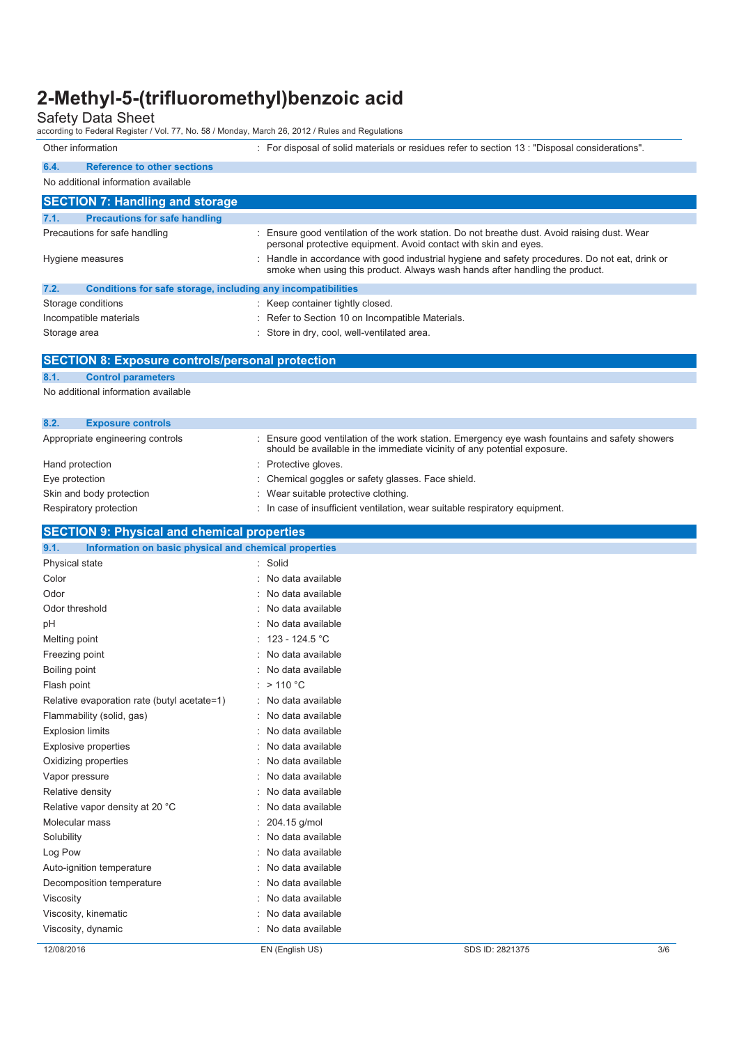Safety Data Sheet according to Federal Register / Vol. 77, No. 58 / Monday, March 26, 2012 / Rules and Regulations

Other information : For disposal of solid materials or residues refer to section 13 : "Disposal considerations".

#### **6.4. Reference to other sections**  No additional information available

|              | <b>SECTION 7: Handling and storage</b>                       |                                                                                                                                                                                 |  |
|--------------|--------------------------------------------------------------|---------------------------------------------------------------------------------------------------------------------------------------------------------------------------------|--|
| 7.1.         | <b>Precautions for safe handling</b>                         |                                                                                                                                                                                 |  |
|              | Precautions for safe handling                                | : Ensure good ventilation of the work station. Do not breathe dust. Avoid raising dust. Wear<br>personal protective equipment. Avoid contact with skin and eyes.                |  |
|              | Hygiene measures                                             | : Handle in accordance with good industrial hygiene and safety procedures. Do not eat, drink or<br>smoke when using this product. Always wash hands after handling the product. |  |
| 7.2.         | Conditions for safe storage, including any incompatibilities |                                                                                                                                                                                 |  |
|              | Storage conditions                                           | : Keep container tightly closed.                                                                                                                                                |  |
|              | Incompatible materials                                       | : Refer to Section 10 on Incompatible Materials.                                                                                                                                |  |
| Storage area |                                                              | : Store in dry, cool, well-ventilated area.                                                                                                                                     |  |
|              | <b>SECTION 8: Exposure controls/personal protection</b>      |                                                                                                                                                                                 |  |
| 8.1.         | <b>Control parameters</b>                                    |                                                                                                                                                                                 |  |
|              | No additional information available                          |                                                                                                                                                                                 |  |
| 8.2.         | <b>Exposure controls</b>                                     |                                                                                                                                                                                 |  |
|              | Appropriate engineering controls                             | : Ensure good ventilation of the work station. Emergency eye wash fountains and safety showers                                                                                  |  |

| Appropriate engineering controls | Ensure good ventilation of the work station. Emergency eye wash fountains and safety showers<br>should be available in the immediate vicinity of any potential exposure. |
|----------------------------------|--------------------------------------------------------------------------------------------------------------------------------------------------------------------------|
| Hand protection                  | : Protective gloves.                                                                                                                                                     |
| Eye protection                   | : Chemical goggles or safety glasses. Face shield.                                                                                                                       |
| Skin and body protection         | : Wear suitable protective clothing.                                                                                                                                     |
| Respiratory protection           | : In case of insufficient ventilation, wear suitable respiratory equipment.                                                                                              |

#### **SECTION 9: Physical and chemical properties**

| 12/08/2016                                                                      | EN (English US)     | SDS ID: 2821375 | 3/6 |
|---------------------------------------------------------------------------------|---------------------|-----------------|-----|
| Viscosity, dynamic                                                              | No data available   |                 |     |
| Viscosity, kinematic                                                            | No data available   |                 |     |
| Viscosity                                                                       | No data available   |                 |     |
| Decomposition temperature                                                       | No data available   |                 |     |
| Auto-ignition temperature                                                       | : No data available |                 |     |
| Log Pow                                                                         | No data available   |                 |     |
| Solubility                                                                      | : No data available |                 |     |
| Molecular mass                                                                  | 204.15 g/mol        |                 |     |
| Relative vapor density at 20 °C                                                 | : No data available |                 |     |
| Relative density                                                                | No data available   |                 |     |
| Vapor pressure                                                                  | : No data available |                 |     |
| Oxidizing properties                                                            | No data available   |                 |     |
| <b>Explosive properties</b>                                                     | No data available   |                 |     |
| <b>Explosion limits</b>                                                         | No data available   |                 |     |
| Flammability (solid, gas)                                                       | No data available   |                 |     |
| Relative evaporation rate (butyl acetate=1)                                     | : No data available |                 |     |
| Flash point                                                                     | : $> 110 °C$        |                 |     |
| Boiling point                                                                   | : No data available |                 |     |
| Freezing point                                                                  | No data available   |                 |     |
| Melting point                                                                   | : $123 - 124.5$ °C  |                 |     |
| pH                                                                              | No data available   |                 |     |
| Odor threshold                                                                  | No data available   |                 |     |
| Odor                                                                            | : No data available |                 |     |
| Color                                                                           | No data available   |                 |     |
| Information on basic physical and chemical properties<br>9.1.<br>Physical state | : Solid             |                 |     |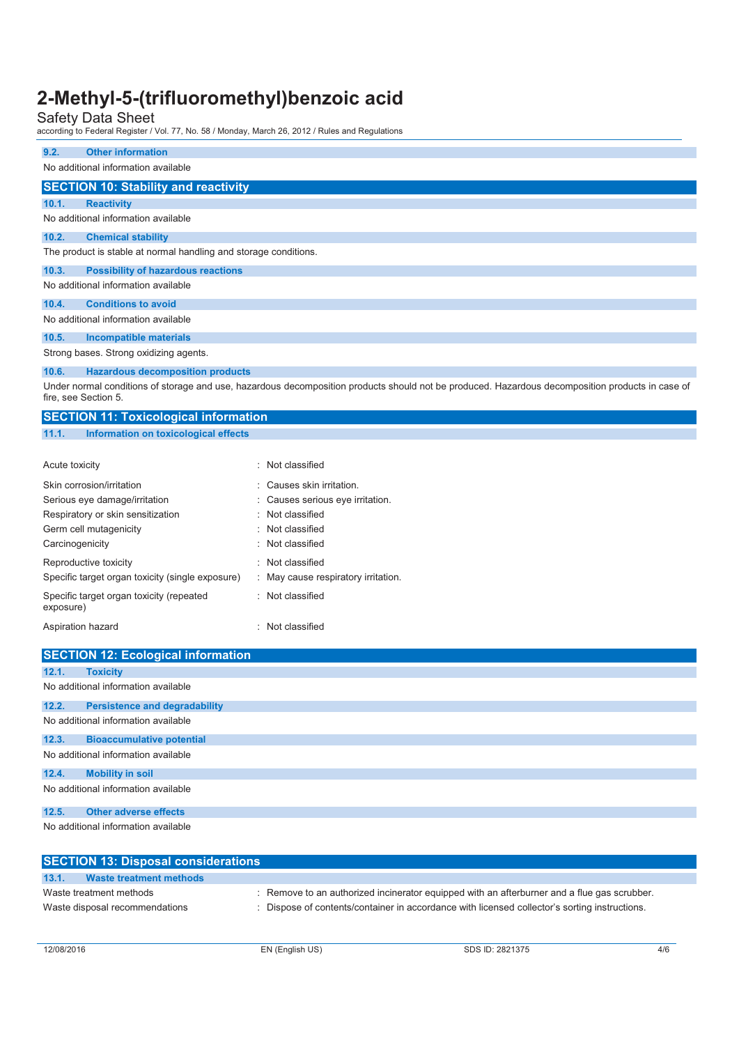Safety Data Sheet according to Federal Register / Vol. 77, No. 58 / Monday, March 26, 2012 / Rules and Regulations

| <b>Other information</b><br>9.2.                                                                                                                                         |                                     |  |  |
|--------------------------------------------------------------------------------------------------------------------------------------------------------------------------|-------------------------------------|--|--|
| No additional information available                                                                                                                                      |                                     |  |  |
| <b>SECTION 10: Stability and reactivity</b>                                                                                                                              |                                     |  |  |
| 10.1.<br><b>Reactivity</b>                                                                                                                                               |                                     |  |  |
| No additional information available                                                                                                                                      |                                     |  |  |
| 10.2.<br><b>Chemical stability</b>                                                                                                                                       |                                     |  |  |
| The product is stable at normal handling and storage conditions.                                                                                                         |                                     |  |  |
| 10.3.<br><b>Possibility of hazardous reactions</b>                                                                                                                       |                                     |  |  |
| No additional information available                                                                                                                                      |                                     |  |  |
| <b>Conditions to avoid</b><br>10.4.                                                                                                                                      |                                     |  |  |
| No additional information available                                                                                                                                      |                                     |  |  |
| 10.5.<br><b>Incompatible materials</b>                                                                                                                                   |                                     |  |  |
| Strong bases. Strong oxidizing agents.                                                                                                                                   |                                     |  |  |
| 10.6.<br><b>Hazardous decomposition products</b>                                                                                                                         |                                     |  |  |
| Under normal conditions of storage and use, hazardous decomposition products should not be produced. Hazardous decomposition products in case of<br>fire, see Section 5. |                                     |  |  |
|                                                                                                                                                                          |                                     |  |  |
| <b>SECTION 11: Toxicological information</b>                                                                                                                             |                                     |  |  |
| Information on toxicological effects<br>11.1.                                                                                                                            |                                     |  |  |
|                                                                                                                                                                          |                                     |  |  |
| Acute toxicity                                                                                                                                                           | : Not classified                    |  |  |
| Skin corrosion/irritation                                                                                                                                                | Causes skin irritation.             |  |  |
| Serious eye damage/irritation                                                                                                                                            | Causes serious eye irritation.      |  |  |
| Respiratory or skin sensitization                                                                                                                                        | Not classified                      |  |  |
| Germ cell mutagenicity                                                                                                                                                   | Not classified                      |  |  |
| Carcinogenicity                                                                                                                                                          | Not classified                      |  |  |
| Reproductive toxicity                                                                                                                                                    | : Not classified                    |  |  |
| Specific target organ toxicity (single exposure)                                                                                                                         | : May cause respiratory irritation. |  |  |
| Specific target organ toxicity (repeated<br>exposure)                                                                                                                    | : Not classified                    |  |  |

|                                     | <b>SECTION 12: Ecological information</b> |  |  |  |  |
|-------------------------------------|-------------------------------------------|--|--|--|--|
| 12.1.                               | <b>Toxicity</b>                           |  |  |  |  |
|                                     | No additional information available       |  |  |  |  |
| 12.2.                               | <b>Persistence and degradability</b>      |  |  |  |  |
|                                     | No additional information available       |  |  |  |  |
| 12.3.                               | <b>Bioaccumulative potential</b>          |  |  |  |  |
|                                     | No additional information available       |  |  |  |  |
| 12.4.                               | <b>Mobility in soil</b>                   |  |  |  |  |
| No additional information available |                                           |  |  |  |  |
| 12.5.                               | <b>Other adverse effects</b>              |  |  |  |  |
|                                     | No additional information available       |  |  |  |  |

|                         | <b>SECTION 13: Disposal considerations</b> |                                                                                               |
|-------------------------|--------------------------------------------|-----------------------------------------------------------------------------------------------|
| 13.1.                   | Waste treatment methods                    |                                                                                               |
| Waste treatment methods |                                            | . Remove to an authorized incinerator equipped with an afterburner and a flue gas scrubber.   |
|                         | Waste disposal recommendations             | : Dispose of contents/container in accordance with licensed collector's sorting instructions. |
|                         |                                            |                                                                                               |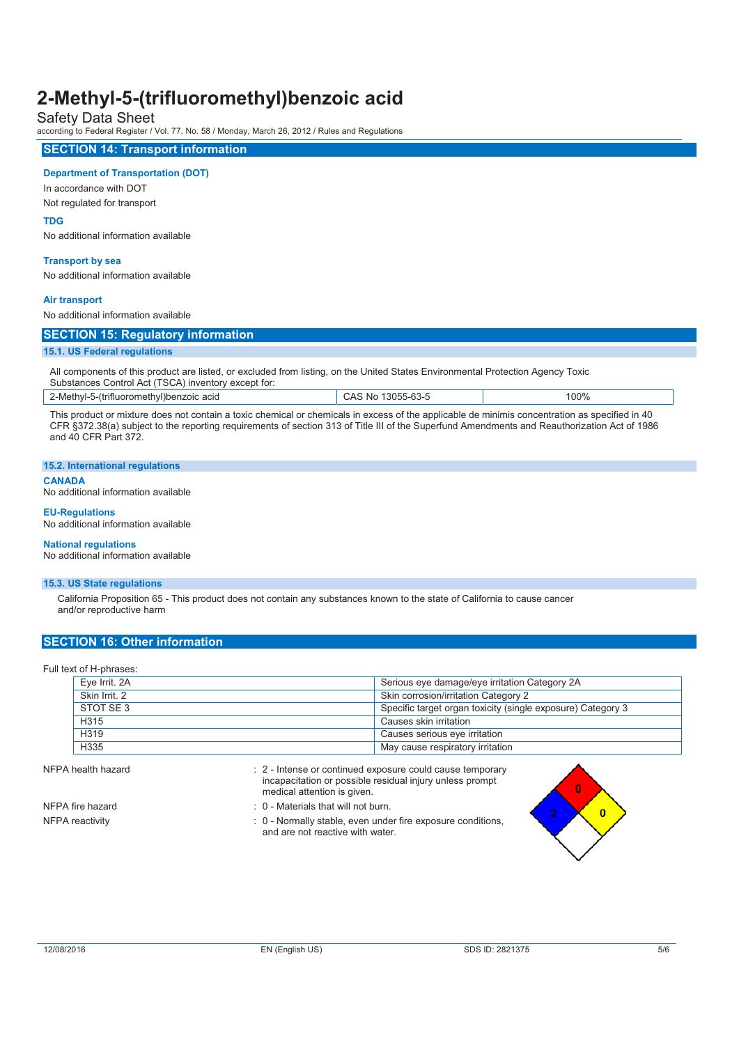Safety Data Sheet

according to Federal Register / Vol. 77, No. 58 / Monday, March 26, 2012 / Rules and Regulations

#### **SECTION 14: Transport information Department of Transportation (DOT)**  In accordance with DOT Not regulated for transport **TDG**  No additional information available **Transport by sea**  No additional information available **Air transport**  No additional information available **SECTION 15: Regulatory information 15.1. US Federal regulations**  All components of this product are listed, or excluded from listing, on the United States Environmental Protection Agency Toxic Substances Control Act (TSCA) inventory except for: 2-Methyl-5-(trifluoromethyl)benzoic acid CAS No 13055-63-5 100% This product or mixture does not contain a toxic chemical or chemicals in excess of the applicable de minimis concentration as specified in 40 CFR §372.38(a) subject to the reporting requirements of section 313 of Title III of the Superfund Amendments and Reauthorization Act of 1986 and 40 CFR Part 372. **15.2. International regulations CANADA**  No additional information available **EU-Regulations**  No additional information available

**National regulations** 

No additional information available

#### **15.3. US State regulations**

California Proposition 65 - This product does not contain any substances known to the state of California to cause cancer and/or reproductive harm

#### **SECTION 16: Other information**

Full text of H-phrases:

| Eye Irrit. 2A | Serious eye damage/eye irritation Category 2A               |
|---------------|-------------------------------------------------------------|
| Skin Irrit, 2 | Skin corrosion/irritation Category 2                        |
| STOT SE 3     | Specific target organ toxicity (single exposure) Category 3 |
| H315          | Causes skin irritation                                      |
| H319          | Causes serious eye irritation                               |
| H335          | May cause respiratory irritation                            |

NFPA health hazard intense or continued exposure could cause temporary incapacitation or possible residual injury unless prompt medical attention is given. NFPA fire hazard **in the state of the STA fire hazard** : 0 - Materials that will not burn.

NFPA reactivity **interpretations** : 0 - Normally stable, even under fire exposure conditions, and are not reactive with water.



n

 $\overline{0}$